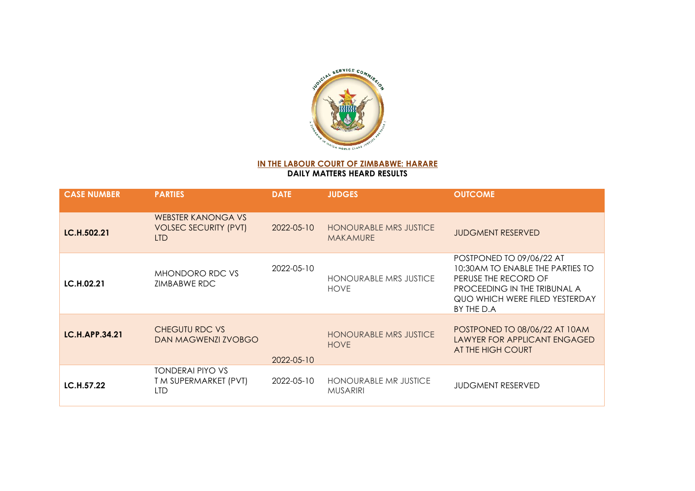

**IN THE LABOUR COURT OF ZIMBABWE: HARARE DAILY MATTERS HEARD RESULTS**

| <b>CASE NUMBER</b> | <b>PARTIES</b>                                                          | <b>DATE</b> | <b>JUDGES</b>                                    | <b>OUTCOME</b>                                                                                                                                                       |
|--------------------|-------------------------------------------------------------------------|-------------|--------------------------------------------------|----------------------------------------------------------------------------------------------------------------------------------------------------------------------|
| <b>LC.H.502.21</b> | <b>WEBSTER KANONGA VS</b><br><b>VOLSEC SECURITY (PVT)</b><br><b>LTD</b> | 2022-05-10  | <b>HONOURABLE MRS JUSTICE</b><br><b>MAKAMURE</b> | <b>JUDGMENT RESERVED</b>                                                                                                                                             |
| LC.H.02.21         | MHONDORO RDC VS<br>ZIMBABWE RDC                                         | 2022-05-10  | <b>HONOURABLE MRS JUSTICE</b><br><b>HOVE</b>     | POSTPONED TO 09/06/22 AT<br>10:30AM TO ENABLE THE PARTIES TO<br>PERUSE THE RECORD OF<br>PROCEEDING IN THE TRIBUNAL A<br>QUO WHICH WERE FILED YESTERDAY<br>BY THE D.A |
| LC.H.APP.34.21     | <b>CHEGUTU RDC VS</b><br>DAN MAGWENZI ZVOBGO                            | 2022-05-10  | <b>HONOURABLE MRS JUSTICE</b><br><b>HOVE</b>     | POSTPONED TO 08/06/22 AT 10AM<br>LAWYER FOR APPLICANT ENGAGED<br>AT THE HIGH COURT                                                                                   |
| LC.H.57.22         | <b>TONDERAI PIYO VS</b><br>T M SUPERMARKET (PVT)<br><b>LTD</b>          | 2022-05-10  | <b>HONOURABLE MR JUSTICE</b><br><b>MUSARIRI</b>  | <b>JUDGMENT RESERVED</b>                                                                                                                                             |